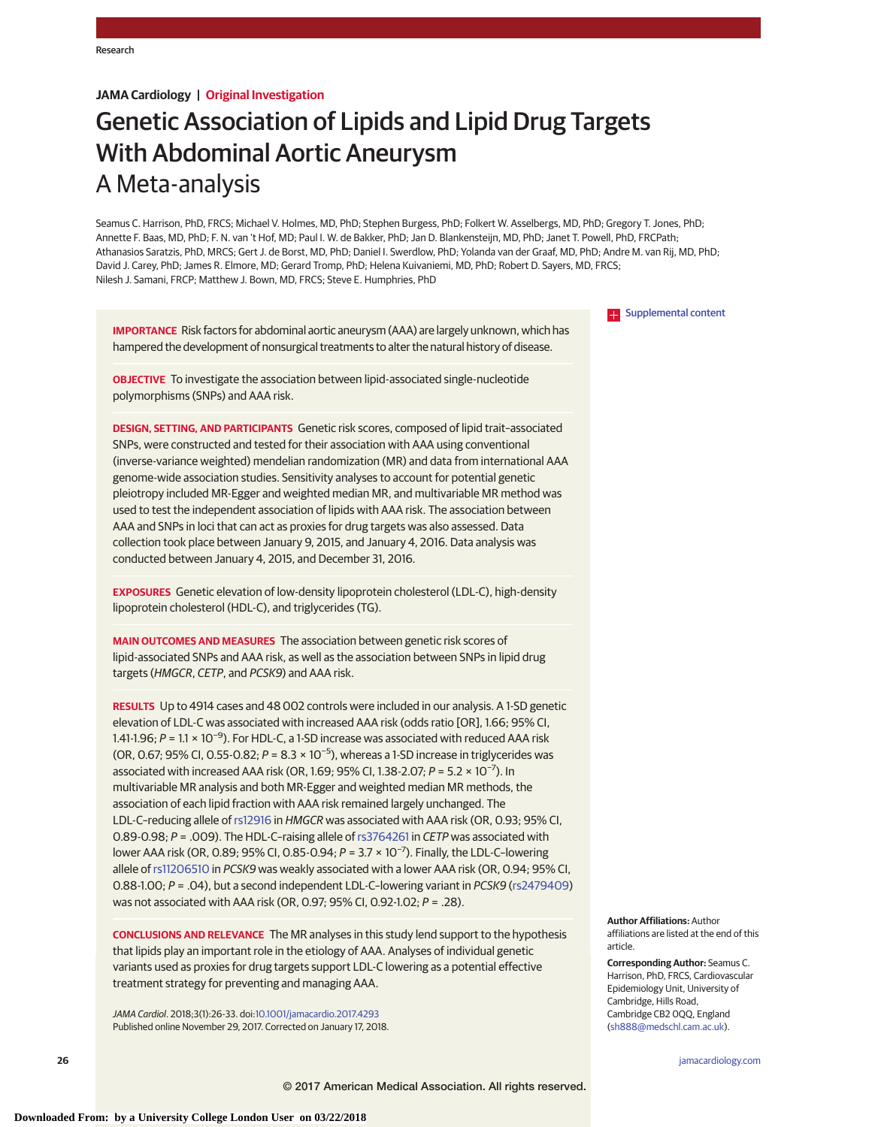## **JAMA Cardiology | Original Investigation**

# Genetic Association of Lipids and Lipid Drug Targets With Abdominal Aortic Aneurysm A Meta-analysis

Seamus C. Harrison, PhD, FRCS; Michael V. Holmes, MD, PhD; Stephen Burgess, PhD; Folkert W. Asselbergs, MD, PhD; Gregory T. Jones, PhD; Annette F. Baas, MD, PhD; F. N. van 't Hof, MD; Paul I. W. de Bakker, PhD; Jan D. Blankensteijn, MD, PhD; Janet T. Powell, PhD, FRCPath; Athanasios Saratzis, PhD, MRCS; Gert J. de Borst, MD, PhD; Daniel I. Swerdlow, PhD; Yolanda van der Graaf, MD, PhD; Andre M. van Rij, MD, PhD; David J. Carey, PhD; James R. Elmore, MD; Gerard Tromp, PhD; Helena Kuivaniemi, MD, PhD; Robert D. Sayers, MD, FRCS; Nilesh J. Samani, FRCP; Matthew J. Bown, MD, FRCS; Steve E. Humphries, PhD

**IMPORTANCE** Risk factors for abdominal aortic aneurysm (AAA) are largely unknown, which has hampered the development of nonsurgical treatments to alter the natural history of disease.

**OBJECTIVE** To investigate the association between lipid-associated single-nucleotide polymorphisms (SNPs) and AAA risk.

**DESIGN, SETTING, AND PARTICIPANTS** Genetic risk scores, composed of lipid trait–associated SNPs, were constructed and tested for their association with AAA using conventional (inverse-variance weighted) mendelian randomization (MR) and data from international AAA genome-wide association studies. Sensitivity analyses to account for potential genetic pleiotropy included MR-Egger and weighted median MR, and multivariable MR method was used to test the independent association of lipids with AAA risk. The association between AAA and SNPs in loci that can act as proxies for drug targets was also assessed. Data collection took place between January 9, 2015, and January 4, 2016. Data analysis was conducted between January 4, 2015, and December 31, 2016.

**EXPOSURES** Genetic elevation of low-density lipoprotein cholesterol (LDL-C), high-density lipoprotein cholesterol (HDL-C), and triglycerides (TG).

**MAIN OUTCOMES AND MEASURES** The association between genetic risk scores of lipid-associated SNPs and AAA risk, as well as the association between SNPs in lipid drug targets (HMGCR, CETP, and PCSK9) and AAA risk.

**RESULTS** Up to 4914 cases and 48 002 controls were included in our analysis. A 1-SD genetic elevation of LDL-C was associated with increased AAA risk (odds ratio [OR], 1.66; 95% CI, 1.41-1.96;  $P = 1.1 \times 10^{-9}$ ). For HDL-C, a 1-SD increase was associated with reduced AAA risk (OR, 0.67; 95% CI, 0.55-0.82;  $P = 8.3 \times 10^{-5}$ ), whereas a 1-SD increase in triglycerides was associated with increased AAA risk (OR, 1.69; 95% CI, 1.38-2.07; P = 5.2  $\times$  10<sup>-7</sup>). In multivariable MR analysis and both MR-Egger and weighted median MR methods, the association of each lipid fraction with AAA risk remained largely unchanged. The LDL-C–reducing allele of [rs12916](https://www.ncbi.nlm.nih.gov/snp/12916) in HMGCR was associated with AAA risk (OR, 0.93; 95% CI, 0.89-0.98; P = .009). The HDL-C–raising allele of [rs3764261](https://www.ncbi.nlm.nih.gov/snp/3764261) in CETP was associated with lower AAA risk (OR, 0.89; 95% CI, 0.85-0.94;  $P = 3.7 \times 10^{-7}$ ). Finally, the LDL-C-lowering allele of [rs11206510](https://www.ncbi.nlm.nih.gov/snp/11206510) in PCSK9 was weakly associated with a lower AAA risk (OR, 0.94; 95% CI, 0.88-1.00; P = .04), but a second independent LDL-C–lowering variant in PCSK9 [\(rs2479409\)](https://www.ncbi.nlm.nih.gov/snp/2479409) was not associated with AAA risk (OR, 0.97; 95% CI, 0.92-1.02; P = .28).

**CONCLUSIONS AND RELEVANCE** The MR analyses in this study lend support to the hypothesis that lipids play an important role in the etiology of AAA. Analyses of individual genetic variants used as proxies for drug targets support LDL-C lowering as a potential effective treatment strategy for preventing and managing AAA.

JAMA Cardiol. 2018;3(1):26-33. doi[:10.1001/jamacardio.2017.4293](http://jama.jamanetwork.com/article.aspx?doi=10.1001/jamacardio.2017.4293&utm_campaign=articlePDF%26utm_medium=articlePDFlink%26utm_source=articlePDF%26utm_content=jamacardio.2017.4293) Published online November 29, 2017. Corrected on January 17, 2018. **Examplemental content** 

**Author Affiliations:** Author affiliations are listed at the end of this article.

**Corresponding Author:** Seamus C. Harrison, PhD, FRCS, Cardiovascular Epidemiology Unit, University of Cambridge, Hills Road, Cambridge CB2 0QQ, England [\(sh888@medschl.cam.ac.uk\)](mailto:sh888@medschl.cam.ac.uk).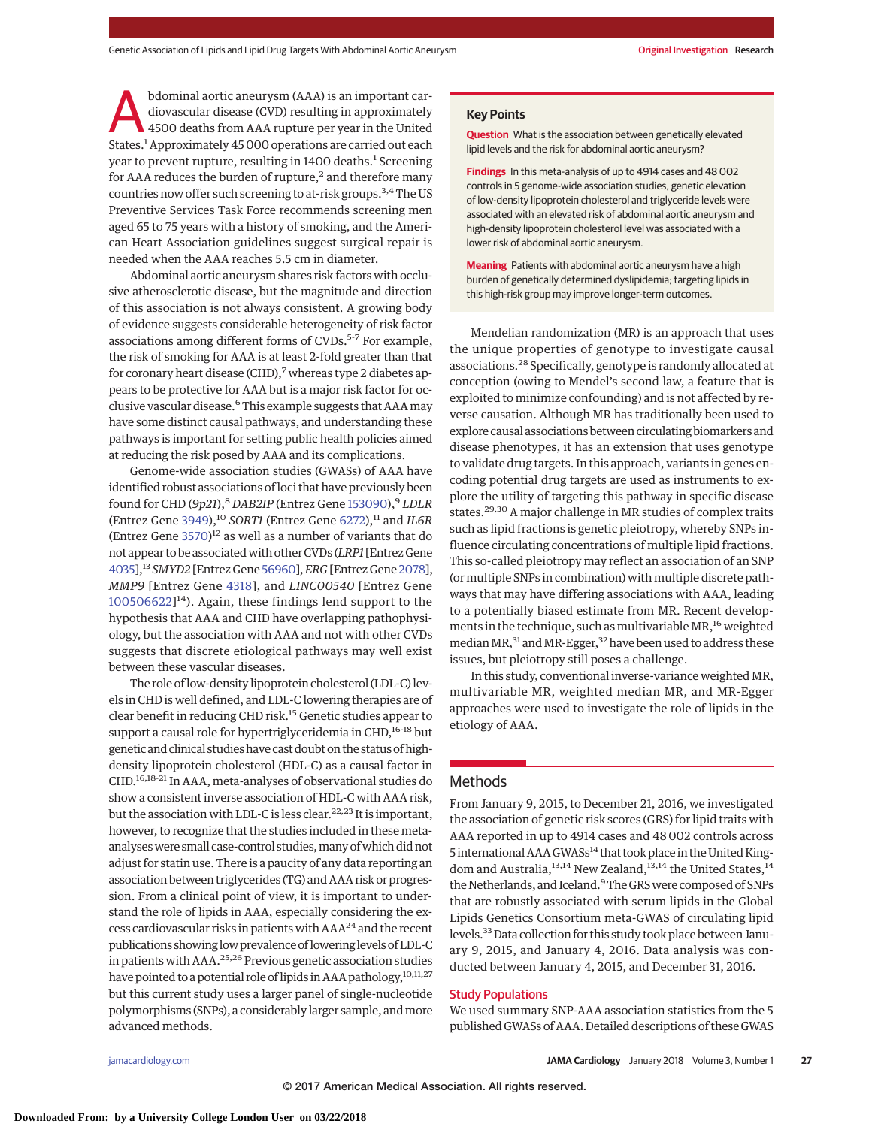Machinal aortic aneurysm (AAA) is an important car-<br>diovascular disease (CVD) resulting in approximately<br>4500 deaths from AAA rupture per year in the United<br>States 1 Approximately 45,000 operations are carried out each diovascular disease (CVD) resulting in approximately States.<sup>1</sup> Approximately 45 000 operations are carried out each year to prevent rupture, resulting in 1400 deaths.<sup>1</sup> Screening for AAA reduces the burden of rupture, $2$  and therefore many countries now offer such screening to at-risk groups.<sup>3,4</sup> The US Preventive Services Task Force recommends screening men aged 65 to 75 years with a history of smoking, and the American Heart Association guidelines suggest surgical repair is needed when the AAA reaches 5.5 cm in diameter.

Abdominal aortic aneurysm shares risk factors with occlusive atherosclerotic disease, but the magnitude and direction of this association is not always consistent. A growing body of evidence suggests considerable heterogeneity of risk factor associations among different forms of CVDs.<sup>5-7</sup> For example, the risk of smoking for AAA is at least 2-fold greater than that for coronary heart disease (CHD), $^7$  whereas type 2 diabetes appears to be protective for AAA but is a major risk factor for occlusive vascular disease.<sup>6</sup> This example suggests that AAA may have some distinct causal pathways, and understanding these pathways is important for setting public health policies aimed at reducing the risk posed by AAA and its complications.

Genome-wide association studies (GWASs) of AAA have identified robust associations of loci that have previously been found for CHD (9p21),<sup>8</sup> DAB2IP (Entrez Gene [153090\)](https://www.ncbi.nlm.nih.gov/gene/153090),<sup>9</sup> LDLR (Entrez Gene [3949\)](https://www.ncbi.nlm.nih.gov/gene/3949),<sup>10</sup> SORT1 (Entrez Gene [6272\)](https://www.ncbi.nlm.nih.gov/gene/6272),<sup>11</sup> and *IL6R* (Entrez Gene [3570\)](https://www.ncbi.nlm.nih.gov/gene/3570) <sup>12</sup> as well as a number of variants that do not appear to be associatedwith other CVDs (*LRP1* [Entrez Gene [4035\]](https://www.ncbi.nlm.nih.gov/gene/4035),13*SMYD2* [Entrez Gene [56960\]](https://www.ncbi.nlm.nih.gov/gene/56960),*ERG* [Entrez Gene [2078\]](https://www.ncbi.nlm.nih.gov/gene/2078), *MMP9* [Entrez Gene [4318\]](https://www.ncbi.nlm.nih.gov/gene/4318), and *LINC00540* [Entrez Gene [100506622\]](https://www.ncbi.nlm.nih.gov/gene/100506622)<sup>14</sup>). Again, these findings lend support to the hypothesis that AAA and CHD have overlapping pathophysiology, but the association with AAA and not with other CVDs suggests that discrete etiological pathways may well exist between these vascular diseases.

The role of low-density lipoprotein cholesterol (LDL-C) levels in CHD is well defined, and LDL-C lowering therapies are of clear benefit in reducing CHD risk.15 Genetic studies appear to support a causal role for hypertriglyceridemia in CHD,<sup>16-18</sup> but genetic and clinical studies have cast doubt on the status of highdensity lipoprotein cholesterol (HDL-C) as a causal factor in CHD.16,18-21 In AAA, meta-analyses of observational studies do show a consistent inverse association of HDL-C with AAA risk, but the association with LDL-C is less clear.<sup>22,23</sup> It is important, however, to recognize that the studies included in these metaanalyseswere small case-control studies,many ofwhich did not adjust for statin use. There is a paucity of any data reporting an association between triglycerides (TG) and AAA risk or progression. From a clinical point of view, it is important to understand the role of lipids in AAA, especially considering the excess cardiovascular risks in patients with AAA24 and the recent publications showing low prevalence of lowering levels of LDL-C in patients with AAA.25,26 Previous genetic association studies have pointed to a potential role of lipids in AAA pathology,<sup>10,11,27</sup> but this current study uses a larger panel of single-nucleotide polymorphisms (SNPs), a considerably larger sample, and more advanced methods.

#### **Key Points**

**Question** What is the association between genetically elevated lipid levels and the risk for abdominal aortic aneurysm?

**Findings** In this meta-analysis of up to 4914 cases and 48 002 controls in 5 genome-wide association studies, genetic elevation of low-density lipoprotein cholesterol and triglyceride levels were associated with an elevated risk of abdominal aortic aneurysm and high-density lipoprotein cholesterol level was associated with a lower risk of abdominal aortic aneurysm.

**Meaning** Patients with abdominal aortic aneurysm have a high burden of genetically determined dyslipidemia; targeting lipids in this high-risk group may improve longer-term outcomes.

Mendelian randomization (MR) is an approach that uses the unique properties of genotype to investigate causal associations.28 Specifically, genotype is randomly allocated at conception (owing to Mendel's second law, a feature that is exploited to minimize confounding) and is not affected by reverse causation. Although MR has traditionally been used to explore causal associations between circulating biomarkers and disease phenotypes, it has an extension that uses genotype to validate drug targets. In this approach, variants in genes encoding potential drug targets are used as instruments to explore the utility of targeting this pathway in specific disease states.<sup>29,30</sup> A major challenge in MR studies of complex traits such as lipid fractions is genetic pleiotropy, whereby SNPs influence circulating concentrations of multiple lipid fractions. This so-called pleiotropy may reflect an association of an SNP (or multiple SNPs in combination) with multiple discrete pathways that may have differing associations with AAA, leading to a potentially biased estimate from MR. Recent developments in the technique, such as multivariable MR,<sup>16</sup> weighted median MR,<sup>31</sup> and MR-Egger,<sup>32</sup> have been used to address these issues, but pleiotropy still poses a challenge.

In this study, conventional inverse-variance weighted MR, multivariable MR, weighted median MR, and MR-Egger approaches were used to investigate the role of lipids in the etiology of AAA.

# **Methods**

From January 9, 2015, to December 21, 2016, we investigated the association of genetic risk scores (GRS) for lipid traits with AAA reported in up to 4914 cases and 48 002 controls across 5 international AAA GWASs<sup>14</sup> that took place in the United Kingdom and Australia,<sup>13,14</sup> New Zealand,<sup>13,14</sup> the United States,<sup>14</sup> the Netherlands, and Iceland.<sup>9</sup> The GRS were composed of SNPs that are robustly associated with serum lipids in the Global Lipids Genetics Consortium meta-GWAS of circulating lipid levels.<sup>33</sup> Data collection for this study took place between January 9, 2015, and January 4, 2016. Data analysis was conducted between January 4, 2015, and December 31, 2016.

#### Study Populations

We used summary SNP-AAA association statistics from the 5 published GWASs of AAA. Detailed descriptions of these GWAS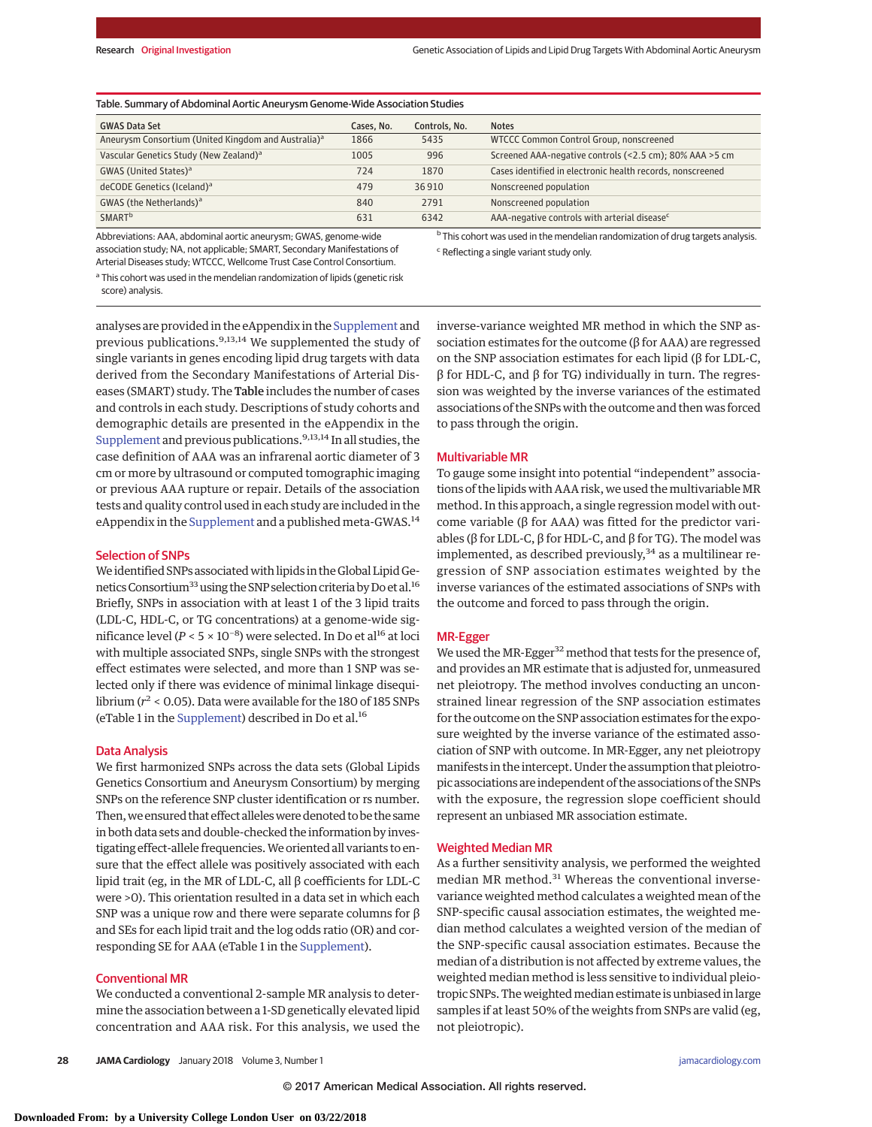#### Table. Summary of Abdominal Aortic Aneurysm Genome-Wide Association Studies

| <b>GWAS Data Set</b>                                            | Cases, No. | Controls, No. | <b>Notes</b>                                               |
|-----------------------------------------------------------------|------------|---------------|------------------------------------------------------------|
| Aneurysm Consortium (United Kingdom and Australia) <sup>a</sup> | 1866       | 5435          | WTCCC Common Control Group, nonscreened                    |
| Vascular Genetics Study (New Zealand) <sup>a</sup>              | 1005       | 996           | Screened AAA-negative controls (<2.5 cm); 80% AAA >5 cm    |
| GWAS (United States) <sup>a</sup>                               | 724        | 1870          | Cases identified in electronic health records, nonscreened |
| deCODE Genetics (Iceland) <sup>a</sup>                          | 479        | 36910         | Nonscreened population                                     |
| GWAS (the Netherlands) <sup>a</sup>                             | 840        | 2791          | Nonscreened population                                     |
| <b>SMART</b> <sup>b</sup>                                       | 631        | 6342          | AAA-negative controls with arterial disease <sup>c</sup>   |

Abbreviations: AAA, abdominal aortic aneurysm; GWAS, genome-wide association study; NA, not applicable; SMART, Secondary Manifestations of Arterial Diseases study; WTCCC, Wellcome Trust Case Control Consortium.

<sup>a</sup> This cohort was used in the mendelian randomization of lipids (genetic risk score) analysis.

analyses are provided in the eAppendix in the [Supplement](http://jama.jamanetwork.com/article.aspx?doi=10.1001/jamacardio.2017.4293&utm_campaign=articlePDF%26utm_medium=articlePDFlink%26utm_source=articlePDF%26utm_content=jamacardio.2017.4293) and previous publications.<sup>9,13,14</sup> We supplemented the study of single variants in genes encoding lipid drug targets with data derived from the Secondary Manifestations of Arterial Diseases (SMART) study. The Table includes the number of cases and controls in each study. Descriptions of study cohorts and demographic details are presented in the eAppendix in the [Supplement](http://jama.jamanetwork.com/article.aspx?doi=10.1001/jamacardio.2017.4293&utm_campaign=articlePDF%26utm_medium=articlePDFlink%26utm_source=articlePDF%26utm_content=jamacardio.2017.4293) and previous publications.<sup>9,13,14</sup> In all studies, the case definition of AAA was an infrarenal aortic diameter of 3 cm or more by ultrasound or computed tomographic imaging or previous AAA rupture or repair. Details of the association tests and quality control used in each study are included in the eAppendix in the [Supplement](http://jama.jamanetwork.com/article.aspx?doi=10.1001/jamacardio.2017.4293&utm_campaign=articlePDF%26utm_medium=articlePDFlink%26utm_source=articlePDF%26utm_content=jamacardio.2017.4293) and a published meta-GWAS.<sup>14</sup>

## Selection of SNPs

We identified SNPs associated with lipids in the Global Lipid Genetics Consortium<sup>33</sup> using the SNP selection criteria by Do et al.<sup>16</sup> Briefly, SNPs in association with at least 1 of the 3 lipid traits (LDL-C, HDL-C, or TG concentrations) at a genome-wide significance level (*P* < 5 × 10<sup>-8</sup>) were selected. In Do et al<sup>16</sup> at loci with multiple associated SNPs, single SNPs with the strongest effect estimates were selected, and more than 1 SNP was selected only if there was evidence of minimal linkage disequilibrium ( $r^2$  < 0.05). Data were available for the 180 of 185 SNPs (eTable 1 in the [Supplement\)](http://jama.jamanetwork.com/article.aspx?doi=10.1001/jamacardio.2017.4293&utm_campaign=articlePDF%26utm_medium=articlePDFlink%26utm_source=articlePDF%26utm_content=jamacardio.2017.4293) described in Do et al.16

#### Data Analysis

We first harmonized SNPs across the data sets (Global Lipids Genetics Consortium and Aneurysm Consortium) by merging SNPs on the reference SNP cluster identification or rs number. Then, we ensured that effect alleles were denoted to be the same in both data sets and double-checked the information by investigating effect-allele frequencies.We oriented all variants to ensure that the effect allele was positively associated with each lipid trait (eg, in the MR of LDL-C, all β coefficients for LDL-C were >0). This orientation resulted in a data set in which each SNP was a unique row and there were separate columns for  $\beta$ and SEs for each lipid trait and the log odds ratio (OR) and corresponding SE for AAA (eTable 1 in the [Supplement\)](http://jama.jamanetwork.com/article.aspx?doi=10.1001/jamacardio.2017.4293&utm_campaign=articlePDF%26utm_medium=articlePDFlink%26utm_source=articlePDF%26utm_content=jamacardio.2017.4293).

### Conventional MR

We conducted a conventional 2-sample MR analysis to determine the association between a 1-SD genetically elevated lipid concentration and AAA risk. For this analysis, we used the <sup>b</sup> This cohort was used in the mendelian randomization of drug targets analysis. <sup>c</sup> Reflecting a single variant study only.

inverse-variance weighted MR method in which the SNP association estimates for the outcome (β for AAA) are regressed on the SNP association estimates for each lipid (β for LDL-C, β for HDL-C, and β for TG) individually in turn. The regression was weighted by the inverse variances of the estimated associations of the SNPs with the outcome and then was forced to pass through the origin.

#### Multivariable MR

To gauge some insight into potential "independent" associations of the lipids with AAA risk, we used themultivariable MR method. In this approach, a single regression model with outcome variable (β for AAA) was fitted for the predictor variables ( $β$  for LDL-C,  $β$  for HDL-C, and  $β$  for TG). The model was implemented, as described previously,<sup>34</sup> as a multilinear regression of SNP association estimates weighted by the inverse variances of the estimated associations of SNPs with the outcome and forced to pass through the origin.

#### MR-Egger

We used the MR-Egger<sup>32</sup> method that tests for the presence of, and provides an MR estimate that is adjusted for, unmeasured net pleiotropy. The method involves conducting an unconstrained linear regression of the SNP association estimates for the outcome on the SNP association estimates for the exposure weighted by the inverse variance of the estimated association of SNP with outcome. In MR-Egger, any net pleiotropy manifests in the intercept. Under the assumption that pleiotropic associations are independent of the associations of the SNPs with the exposure, the regression slope coefficient should represent an unbiased MR association estimate.

#### Weighted Median MR

As a further sensitivity analysis, we performed the weighted median MR method.<sup>31</sup> Whereas the conventional inversevariance weighted method calculates a weighted mean of the SNP-specific causal association estimates, the weighted median method calculates a weighted version of the median of the SNP-specific causal association estimates. Because the median of a distribution is not affected by extreme values, the weighted median method is less sensitive to individual pleiotropic SNPs. The weighted median estimate is unbiased in large samples if at least 50% of the weights from SNPs are valid (eg, not pleiotropic).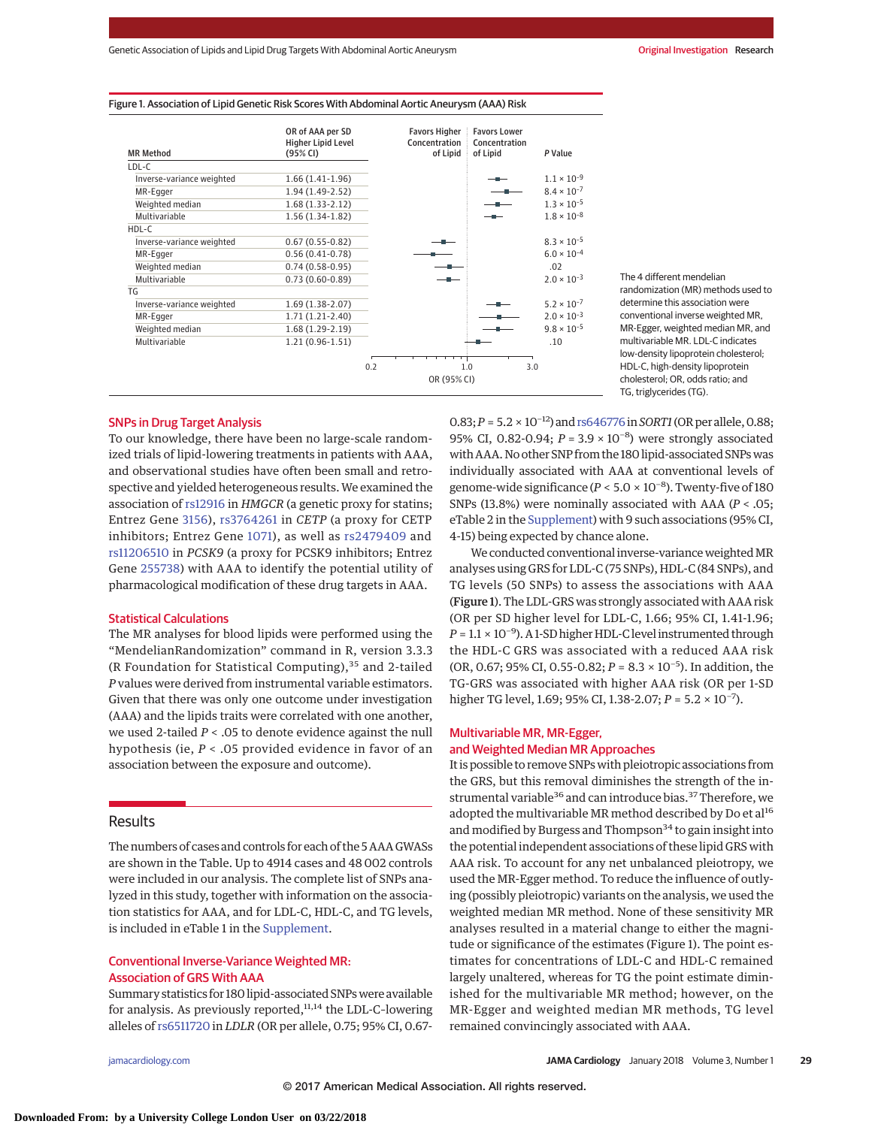| <b>MR Method</b>          | OR of AAA per SD<br><b>Higher Lipid Level</b><br>(95% CI) |             | <b>Favors Higher</b><br>Concentration<br>of Lipid | <b>Favors Lower</b><br>Concentration<br>of Lipid | P Value              |  |  |
|---------------------------|-----------------------------------------------------------|-------------|---------------------------------------------------|--------------------------------------------------|----------------------|--|--|
| LDL-C                     |                                                           |             |                                                   |                                                  |                      |  |  |
| Inverse-variance weighted | $1.66(1.41-1.96)$                                         |             |                                                   |                                                  | $1.1 \times 10^{-9}$ |  |  |
| MR-Egger                  | 1.94 (1.49-2.52)                                          |             |                                                   |                                                  | $8.4 \times 10^{-7}$ |  |  |
| Weighted median           | $1.68(1.33-2.12)$                                         |             |                                                   |                                                  | $1.3 \times 10^{-5}$ |  |  |
| Multivariable             | $1.56(1.34-1.82)$                                         |             |                                                   |                                                  | $1.8 \times 10^{-8}$ |  |  |
| HDL-C                     |                                                           |             |                                                   |                                                  |                      |  |  |
| Inverse-variance weighted | $0.67(0.55-0.82)$                                         |             |                                                   |                                                  | $8.3 \times 10^{-5}$ |  |  |
| MR-Egger                  | $0.56(0.41-0.78)$                                         |             |                                                   |                                                  | $6.0 \times 10^{-4}$ |  |  |
| Weighted median           | $0.74(0.58-0.95)$                                         |             |                                                   |                                                  | .02                  |  |  |
| Multivariable             | $0.73(0.60-0.89)$                                         |             |                                                   |                                                  | $2.0 \times 10^{-3}$ |  |  |
| TG                        |                                                           |             |                                                   |                                                  |                      |  |  |
| Inverse-variance weighted | $1.69(1.38-2.07)$                                         |             |                                                   |                                                  | $5.2 \times 10^{-7}$ |  |  |
| MR-Egger                  | $1.71(1.21-2.40)$                                         |             |                                                   |                                                  | $2.0 \times 10^{-3}$ |  |  |
| Weighted median           | $1.68(1.29-2.19)$                                         |             |                                                   |                                                  | $9.8 \times 10^{-5}$ |  |  |
| Multivariable             | $1.21(0.96-1.51)$                                         |             |                                                   |                                                  | .10                  |  |  |
|                           |                                                           |             |                                                   |                                                  |                      |  |  |
|                           |                                                           | 0.2         |                                                   | 1.0                                              | 3.0                  |  |  |
|                           |                                                           | OR (95% CI) |                                                   |                                                  |                      |  |  |

#### Figure 1. Association of Lipid Genetic Risk Scores With Abdominal Aortic Aneurysm (AAA) Risk

The 4 different mendelian randomization (MR) methods used to determine this association were conventional inverse weighted MR, MR-Egger, weighted median MR, and multivariable MR. LDL-C indicates low-density lipoprotein cholesterol; HDL-C, high-density lipoprotein cholesterol; OR, odds ratio; and TG, triglycerides (TG).

#### SNPs in Drug Target Analysis

To our knowledge, there have been no large-scale randomized trials of lipid-lowering treatments in patients with AAA, and observational studies have often been small and retrospective and yielded heterogeneous results.We examined the association of [rs12916](https://www.ncbi.nlm.nih.gov/snp/12916) in *HMGCR* (a genetic proxy for statins; Entrez Gene [3156\)](https://www.ncbi.nlm.nih.gov/gene/3156), [rs3764261](https://www.ncbi.nlm.nih.gov/snp/3764261) in *CETP* (a proxy for CETP inhibitors; Entrez Gene [1071\)](https://www.ncbi.nlm.nih.gov/gene/1071), as well as [rs2479409](https://www.ncbi.nlm.nih.gov/snp/2479409) and [rs11206510](https://www.ncbi.nlm.nih.gov/snp/11206510) in *PCSK9* (a proxy for PCSK9 inhibitors; Entrez Gene [255738\)](https://www.ncbi.nlm.nih.gov/gene/255738) with AAA to identify the potential utility of pharmacological modification of these drug targets in AAA.

#### Statistical Calculations

The MR analyses for blood lipids were performed using the "MendelianRandomization" command in R, version 3.3.3 (R Foundation for Statistical Computing), $35$  and 2-tailed *P* values were derived from instrumental variable estimators. Given that there was only one outcome under investigation (AAA) and the lipids traits were correlated with one another, we used 2-tailed *P* < .05 to denote evidence against the null hypothesis (ie, *P* < .05 provided evidence in favor of an association between the exposure and outcome).

# **Results**

The numbers of cases and controls for each of the 5 AAA GWASs are shown in the Table. Up to 4914 cases and 48 002 controls were included in our analysis. The complete list of SNPs analyzed in this study, together with information on the association statistics for AAA, and for LDL-C, HDL-C, and TG levels, is included in eTable 1 in the [Supplement.](http://jama.jamanetwork.com/article.aspx?doi=10.1001/jamacardio.2017.4293&utm_campaign=articlePDF%26utm_medium=articlePDFlink%26utm_source=articlePDF%26utm_content=jamacardio.2017.4293)

# Conventional Inverse-Variance Weighted MR: Association of GRS With AAA

Summary statistics for 180 lipid-associated SNPs were available for analysis. As previously reported, $11,14$  the LDL-C-lowering alleles of [rs6511720](https://www.ncbi.nlm.nih.gov/snp/6511720) in *LDLR* (OR per allele, 0.75; 95% CI, 0.67-

0.83; *P* = 5.2 × 10<sup>-12</sup>) and rs646776 in *SORT1* (OR per allele, 0.88; 95% CI, 0.82-0.94; *P* = 3.9 × 10<sup>-8</sup>) were strongly associated with AAA. No other SNP from the 180 lipid-associated SNPswas individually associated with AAA at conventional levels of genome-wide significance (*P* < 5.0 × 10−8). Twenty-five of 180 SNPs (13.8%) were nominally associated with AAA (*P* < .05; eTable 2 in the [Supplement\)](http://jama.jamanetwork.com/article.aspx?doi=10.1001/jamacardio.2017.4293&utm_campaign=articlePDF%26utm_medium=articlePDFlink%26utm_source=articlePDF%26utm_content=jamacardio.2017.4293) with 9 such associations (95% CI, 4-15) being expected by chance alone.

We conducted conventional inverse-variance weighted MR analyses using GRS for LDL-C (75 SNPs), HDL-C (84 SNPs), and TG levels (50 SNPs) to assess the associations with AAA (Figure 1). The LDL-GRS was strongly associated with AAA risk (OR per SD higher level for LDL-C, 1.66; 95% CI, 1.41-1.96; *P* = 1.1 × 10<sup>-9</sup>). A 1-SD higher HDL-C level instrumented through the HDL-C GRS was associated with a reduced AAA risk (OR, 0.67; 95% CI, 0.55-0.82; *P* = 8.3 × 10−5). In addition, the TG-GRS was associated with higher AAA risk (OR per 1-SD higher TG level, 1.69; 95% CI, 1.38-2.07; *P* = 5.2 × 10−7).

# Multivariable MR, MR-Egger, and Weighted Median MR Approaches

It is possible to remove SNPs with pleiotropic associations from the GRS, but this removal diminishes the strength of the instrumental variable<sup>36</sup> and can introduce bias.<sup>37</sup> Therefore, we adopted the multivariable MR method described by Do et al<sup>16</sup> and modified by Burgess and Thompson $34$  to gain insight into the potential independent associations of these lipid GRS with AAA risk. To account for any net unbalanced pleiotropy, we used the MR-Egger method. To reduce the influence of outlying (possibly pleiotropic) variants on the analysis, we used the weighted median MR method. None of these sensitivity MR analyses resulted in a material change to either the magnitude or significance of the estimates (Figure 1). The point estimates for concentrations of LDL-C and HDL-C remained largely unaltered, whereas for TG the point estimate diminished for the multivariable MR method; however, on the MR-Egger and weighted median MR methods, TG level remained convincingly associated with AAA.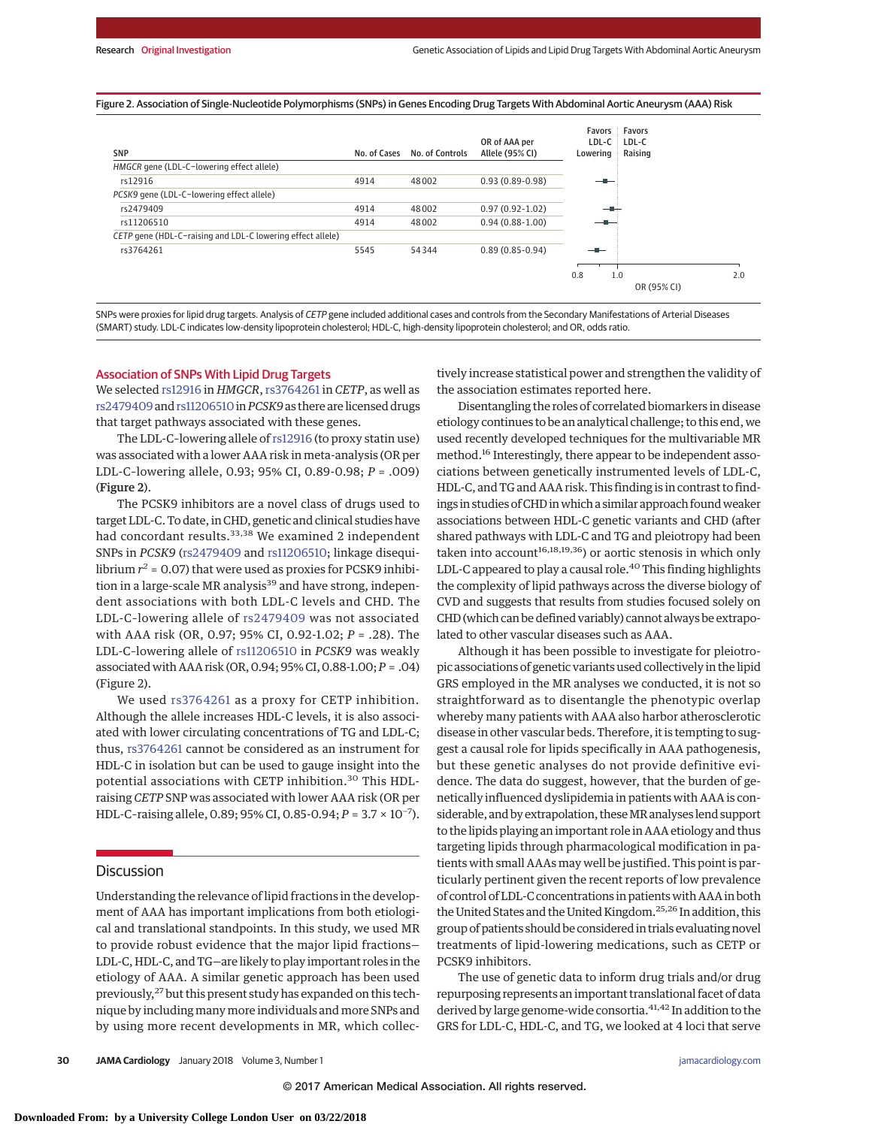#### Figure 2. Association of Single-Nucleotide Polymorphisms (SNPs) in Genes Encoding Drug Targets With Abdominal Aortic Aneurysm (AAA) Risk



SNPs were proxies for lipid drug targets. Analysis of CETP gene included additional cases and controls from the Secondary Manifestations of Arterial Diseases (SMART) study. LDL-C indicates low-density lipoprotein cholesterol; HDL-C, high-density lipoprotein cholesterol; and OR, odds ratio.

#### Association of SNPs With Lipid Drug Targets

We selected [rs12916](https://www.ncbi.nlm.nih.gov/snp/12916) in *HMGCR*, [rs3764261](https://www.ncbi.nlm.nih.gov/snp/3764261) in *CETP*, as well as rs2479409 and rs11206510 in PCSK9 as there are licensed drugs that target pathways associated with these genes.

The LDL-C–lowering allele of [rs12916](https://www.ncbi.nlm.nih.gov/snp/12916) (to proxy statin use) was associated with a lower AAA risk in meta-analysis (OR per LDL-C–lowering allele, 0.93; 95% CI, 0.89-0.98; *P* = .009) (Figure 2).

The PCSK9 inhibitors are a novel class of drugs used to target LDL-C. To date, in CHD, genetic and clinical studies have had concordant results.<sup>33,38</sup> We examined 2 independent SNPs in *PCSK9* [\(rs2479409](https://www.ncbi.nlm.nih.gov/snp/2479409) and [rs11206510;](https://www.ncbi.nlm.nih.gov/snp/11206510) linkage disequilibrium  $r^2$  = 0.07) that were used as proxies for PCSK9 inhibition in a large-scale MR analysis<sup>39</sup> and have strong, independent associations with both LDL-C levels and CHD. The LDL-C–lowering allele of [rs2479409](https://www.ncbi.nlm.nih.gov/snp/2479409) was not associated with AAA risk (OR, 0.97; 95% CI, 0.92-1.02; *P* = .28). The LDL-C–lowering allele of [rs11206510](https://www.ncbi.nlm.nih.gov/snp/11206510) in *PCSK9* was weakly associated with AAA risk (OR, 0.94; 95% CI, 0.88-1.00;*P* = .04) (Figure 2).

We used [rs3764261](https://www.ncbi.nlm.nih.gov/snp/3764261) as a proxy for CETP inhibition. Although the allele increases HDL-C levels, it is also associated with lower circulating concentrations of TG and LDL-C; thus, [rs3764261](https://www.ncbi.nlm.nih.gov/snp/3764261) cannot be considered as an instrument for HDL-C in isolation but can be used to gauge insight into the potential associations with CETP inhibition.<sup>30</sup> This HDLraising *CETP* SNP was associated with lower AAA risk (OR per HDL-C–raising allele, 0.89; 95% CI, 0.85-0.94; *P* = 3.7 × 10−7).

### **Discussion**

Understanding the relevance of lipid fractions in the development of AAA has important implications from both etiological and translational standpoints. In this study, we used MR to provide robust evidence that the major lipid fractions— LDL-C, HDL-C, and TG—are likely to play important roles in the etiology of AAA. A similar genetic approach has been used previously,<sup>27</sup> but this present study has expanded on this technique by including many more individuals and more SNPs and by using more recent developments in MR, which collectively increase statistical power and strengthen the validity of the association estimates reported here.

Disentangling the roles of correlated biomarkers in disease etiology continues to be an analytical challenge; to this end, we used recently developed techniques for the multivariable MR method.16 Interestingly, there appear to be independent associations between genetically instrumented levels of LDL-C, HDL-C, and TG and AAA risk. This finding is in contrast to findings in studies of CHD in which a similar approach found weaker associations between HDL-C genetic variants and CHD (after shared pathways with LDL-C and TG and pleiotropy had been taken into account<sup>16,18,19,36</sup>) or aortic stenosis in which only LDL-C appeared to play a causal role.<sup>40</sup> This finding highlights the complexity of lipid pathways across the diverse biology of CVD and suggests that results from studies focused solely on CHD (which can be defined variably) cannot always be extrapolated to other vascular diseases such as AAA.

Although it has been possible to investigate for pleiotropic associations of genetic variants used collectively in the lipid GRS employed in the MR analyses we conducted, it is not so straightforward as to disentangle the phenotypic overlap whereby many patients with AAA also harbor atherosclerotic disease in other vascular beds. Therefore, it is tempting to suggest a causal role for lipids specifically in AAA pathogenesis, but these genetic analyses do not provide definitive evidence. The data do suggest, however, that the burden of genetically influenced dyslipidemia in patients with AAA is considerable, and by extrapolation, theseMR analyses lend support to the lipids playing an important role in AAA etiology and thus targeting lipids through pharmacological modification in patients with small AAAs may well be justified. This point is particularly pertinent given the recent reports of low prevalence of control of LDL-C concentrations in patients with AAA in both the United States and the United Kingdom.25,26 In addition, this group of patients should be considered in trials evaluating novel treatments of lipid-lowering medications, such as CETP or PCSK9 inhibitors.

The use of genetic data to inform drug trials and/or drug repurposing represents an important translational facet of data derived by large genome-wide consortia.<sup>41,42</sup> In addition to the GRS for LDL-C, HDL-C, and TG, we looked at 4 loci that serve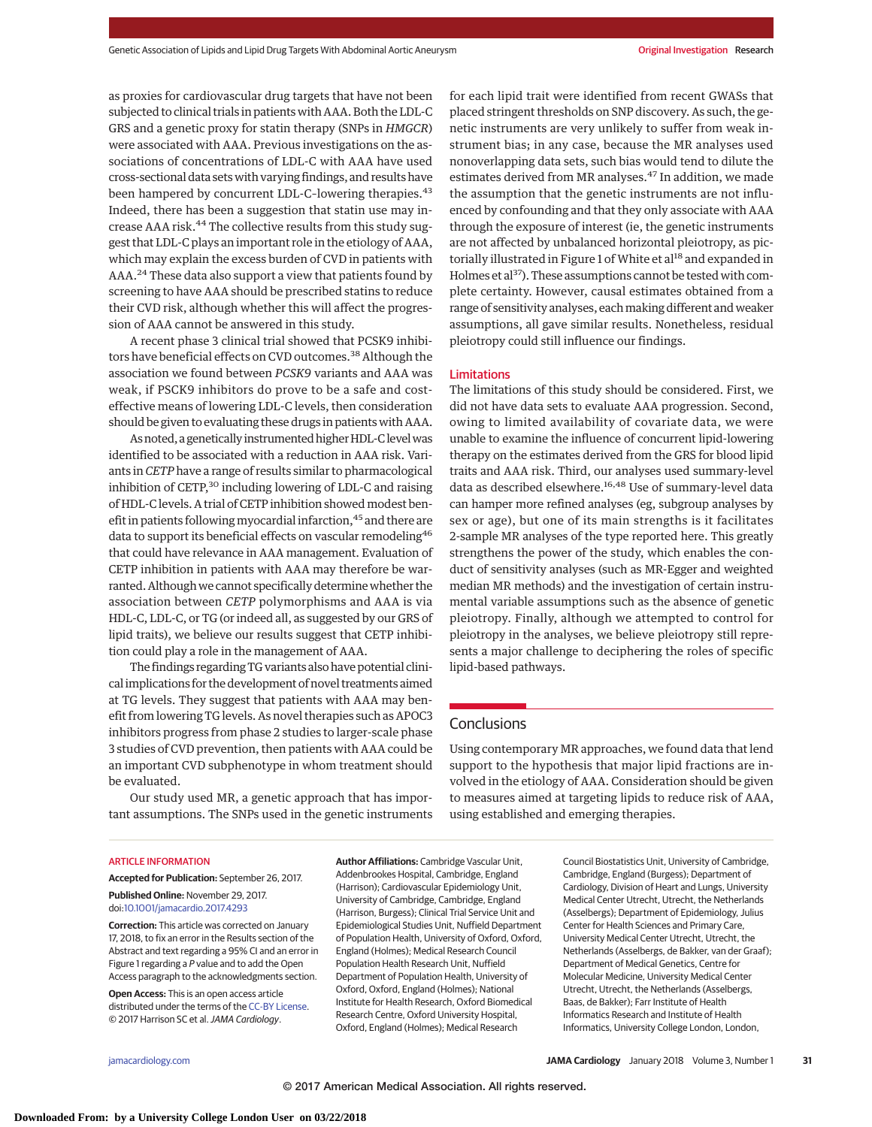as proxies for cardiovascular drug targets that have not been subjected to clinical trials in patients with AAA. Both the LDL-C GRS and a genetic proxy for statin therapy (SNPs in *HMGCR*) were associated with AAA. Previous investigations on the associations of concentrations of LDL-C with AAA have used cross-sectional data setswith varying findings, and results have been hampered by concurrent LDL-C-lowering therapies.<sup>43</sup> Indeed, there has been a suggestion that statin use may increase AAA risk.44 The collective results from this study suggest that LDL-C plays an important role in the etiology of AAA, which may explain the excess burden of CVD in patients with AAA.<sup>24</sup> These data also support a view that patients found by screening to have AAA should be prescribed statins to reduce their CVD risk, although whether this will affect the progression of AAA cannot be answered in this study.

A recent phase 3 clinical trial showed that PCSK9 inhibitors have beneficial effects on CVD outcomes.<sup>38</sup> Although the association we found between *PCSK9* variants and AAA was weak, if PSCK9 inhibitors do prove to be a safe and costeffective means of lowering LDL-C levels, then consideration should be given to evaluating these drugs in patients with AAA.

As noted, a genetically instrumented higher HDL-C level was identified to be associated with a reduction in AAA risk. Variants in *CETP* have a range of results similar to pharmacological inhibition of  $CETP<sub>1</sub><sup>30</sup>$  including lowering of LDL-C and raising of HDL-C levels. A trial of CETP inhibition showed modest benefit in patients following myocardial infarction, <sup>45</sup> and there are data to support its beneficial effects on vascular remodeling<sup>46</sup> that could have relevance in AAA management. Evaluation of CETP inhibition in patients with AAA may therefore be warranted. Although we cannot specifically determine whether the association between *CETP* polymorphisms and AAA is via HDL-C, LDL-C, or TG (or indeed all, as suggested by our GRS of lipid traits), we believe our results suggest that CETP inhibition could play a role in the management of AAA.

The findings regarding TG variants also have potential clinical implications for the development of novel treatments aimed at TG levels. They suggest that patients with AAA may benefit from lowering TG levels. As novel therapies such as APOC3 inhibitors progress from phase 2 studies to larger-scale phase 3 studies of CVD prevention, then patients with AAA could be an important CVD subphenotype in whom treatment should be evaluated.

Our study used MR, a genetic approach that has important assumptions. The SNPs used in the genetic instruments for each lipid trait were identified from recent GWASs that placed stringent thresholds on SNP discovery. As such, the genetic instruments are very unlikely to suffer from weak instrument bias; in any case, because the MR analyses used nonoverlapping data sets, such bias would tend to dilute the estimates derived from MR analyses.<sup>47</sup> In addition, we made the assumption that the genetic instruments are not influenced by confounding and that they only associate with AAA through the exposure of interest (ie, the genetic instruments are not affected by unbalanced horizontal pleiotropy, as pictorially illustrated in Figure 1 of White et al<sup>18</sup> and expanded in Holmes et al<sup>37</sup>). These assumptions cannot be tested with complete certainty. However, causal estimates obtained from a range of sensitivity analyses, each making different and weaker assumptions, all gave similar results. Nonetheless, residual pleiotropy could still influence our findings.

#### Limitations

The limitations of this study should be considered. First, we did not have data sets to evaluate AAA progression. Second, owing to limited availability of covariate data, we were unable to examine the influence of concurrent lipid-lowering therapy on the estimates derived from the GRS for blood lipid traits and AAA risk. Third, our analyses used summary-level data as described elsewhere.<sup>16,48</sup> Use of summary-level data can hamper more refined analyses (eg, subgroup analyses by sex or age), but one of its main strengths is it facilitates 2-sample MR analyses of the type reported here. This greatly strengthens the power of the study, which enables the conduct of sensitivity analyses (such as MR-Egger and weighted median MR methods) and the investigation of certain instrumental variable assumptions such as the absence of genetic pleiotropy. Finally, although we attempted to control for pleiotropy in the analyses, we believe pleiotropy still represents a major challenge to deciphering the roles of specific lipid-based pathways.

# **Conclusions**

Using contemporary MR approaches, we found data that lend support to the hypothesis that major lipid fractions are involved in the etiology of AAA. Consideration should be given to measures aimed at targeting lipids to reduce risk of AAA, using established and emerging therapies.

#### ARTICLE INFORMATION

**Accepted for Publication:** September 26, 2017. **Published Online:** November 29, 2017. doi[:10.1001/jamacardio.2017.4293](http://jama.jamanetwork.com/article.aspx?doi=10.1001/jamacardio.2017.4293&utm_campaign=articlePDF%26utm_medium=articlePDFlink%26utm_source=articlePDF%26utm_content=jamacardio.2017.4293)

**Correction:** This article was corrected on January 17, 2018, to fix an error in the Results section of the Abstract and text regarding a 95% CI and an error in Figure 1 regarding a P value and to add the Open Access paragraph to the acknowledgments section.

**Open Access:** This is an open access article distributed under the terms of the [CC-BY License.](http://jamanetwork.com/journals/jamacardiology/pages/instructions-for-authors#SecOpenAccess/?utm_campaign=articlePDF%26utm_medium=articlePDFlink%26utm_source=articlePDF%26utm_content=jamacardio.2017.4293) © 2017 Harrison SC et al.JAMA Cardiology.

**Author Affiliations:** Cambridge Vascular Unit, Addenbrookes Hospital, Cambridge, England (Harrison); Cardiovascular Epidemiology Unit, University of Cambridge, Cambridge, England (Harrison, Burgess); Clinical Trial Service Unit and Epidemiological Studies Unit, Nuffield Department of Population Health, University of Oxford, Oxford, England (Holmes); Medical Research Council Population Health Research Unit, Nuffield Department of Population Health, University of Oxford, Oxford, England (Holmes); National Institute for Health Research, Oxford Biomedical Research Centre, Oxford University Hospital, Oxford, England (Holmes); Medical Research

Council Biostatistics Unit, University of Cambridge, Cambridge, England (Burgess); Department of Cardiology, Division of Heart and Lungs, University Medical Center Utrecht, Utrecht, the Netherlands (Asselbergs); Department of Epidemiology, Julius Center for Health Sciences and Primary Care, University Medical Center Utrecht, Utrecht, the Netherlands (Asselbergs, de Bakker, van der Graaf); Department of Medical Genetics, Centre for Molecular Medicine, University Medical Center Utrecht, Utrecht, the Netherlands (Asselbergs, Baas, de Bakker); Farr Institute of Health Informatics Research and Institute of Health Informatics, University College London, London,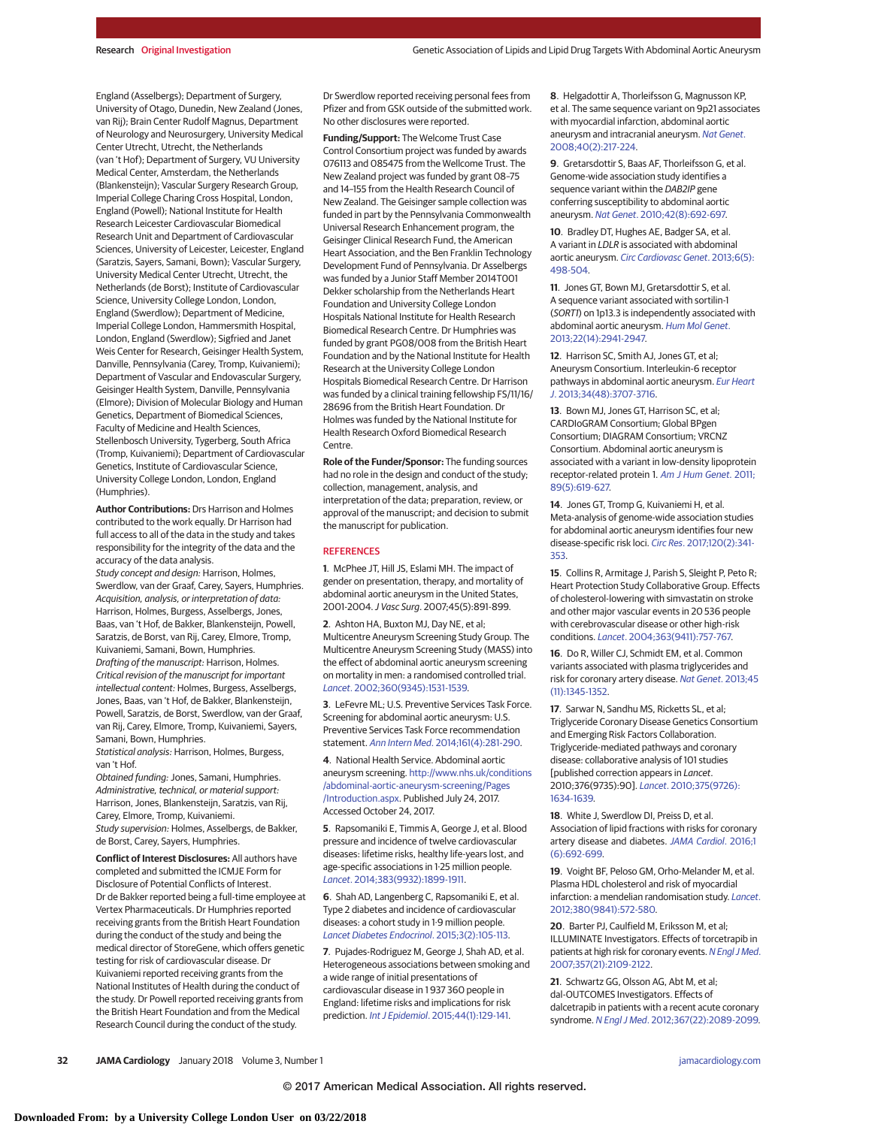England (Asselbergs); Department of Surgery, University of Otago, Dunedin, New Zealand (Jones, van Rij); Brain Center Rudolf Magnus, Department of Neurology and Neurosurgery, University Medical Center Utrecht, Utrecht, the Netherlands (van 't Hof); Department of Surgery, VU University Medical Center, Amsterdam, the Netherlands (Blankensteijn); Vascular Surgery Research Group, Imperial College Charing Cross Hospital, London, England (Powell); National Institute for Health Research Leicester Cardiovascular Biomedical Research Unit and Department of Cardiovascular Sciences, University of Leicester, Leicester, England (Saratzis, Sayers, Samani, Bown); Vascular Surgery, University Medical Center Utrecht, Utrecht, the Netherlands (de Borst); Institute of Cardiovascular Science, University College London, London, England (Swerdlow); Department of Medicine, Imperial College London, Hammersmith Hospital, London, England (Swerdlow); Sigfried and Janet Weis Center for Research, Geisinger Health System, Danville, Pennsylvania (Carey, Tromp, Kuivaniemi); Department of Vascular and Endovascular Surgery, Geisinger Health System, Danville, Pennsylvania (Elmore); Division of Molecular Biology and Human Genetics, Department of Biomedical Sciences, Faculty of Medicine and Health Sciences, Stellenbosch University, Tygerberg, South Africa (Tromp, Kuivaniemi); Department of Cardiovascular Genetics, Institute of Cardiovascular Science, University College London, London, England (Humphries).

**Author Contributions:** Drs Harrison and Holmes contributed to the work equally. Dr Harrison had full access to all of the data in the study and takes responsibility for the integrity of the data and the accuracy of the data analysis.

Study concept and design: Harrison, Holmes, Swerdlow, van der Graaf, Carey, Sayers, Humphries. Acquisition, analysis, or interpretation of data: Harrison, Holmes, Burgess, Asselbergs, Jones, Baas, van 't Hof, de Bakker, Blankensteijn, Powell, Saratzis, de Borst, van Rij, Carey, Elmore, Tromp, Kuivaniemi, Samani, Bown, Humphries. Drafting of the manuscript: Harrison, Holmes. Critical revision of the manuscript for important intellectual content: Holmes, Burgess, Asselbergs, Jones, Baas, van 't Hof, de Bakker, Blankensteijn, Powell, Saratzis, de Borst, Swerdlow, van der Graaf, van Rij, Carey, Elmore, Tromp, Kuivaniemi, Sayers, Samani, Bown, Humphries.

Statistical analysis: Harrison, Holmes, Burgess, van 't Hof.

Obtained funding: Jones, Samani, Humphries. Administrative, technical, or material support: Harrison, Jones, Blankensteijn, Saratzis, van Rij, Carey, Elmore, Tromp, Kuivaniemi. Study supervision: Holmes, Asselbergs, de Bakker, de Borst, Carey, Sayers, Humphries.

**Conflict of Interest Disclosures:** All authors have completed and submitted the ICMJE Form for Disclosure of Potential Conflicts of Interest. Dr de Bakker reported being a full-time employee at Vertex Pharmaceuticals. Dr Humphries reported receiving grants from the British Heart Foundation during the conduct of the study and being the medical director of StoreGene, which offers genetic testing for risk of cardiovascular disease. Dr Kuivaniemi reported receiving grants from the National Institutes of Health during the conduct of the study. Dr Powell reported receiving grants from the British Heart Foundation and from the Medical Research Council during the conduct of the study.

Dr Swerdlow reported receiving personal fees from Pfizer and from GSK outside of the submitted work. No other disclosures were reported.

**Funding/Support:** The Welcome Trust Case Control Consortium project was funded by awards 076113 and 085475 from the Wellcome Trust. The New Zealand project was funded by grant 08–75 and 14–155 from the Health Research Council of New Zealand. The Geisinger sample collection was funded in part by the Pennsylvania Commonwealth Universal Research Enhancement program, the Geisinger Clinical Research Fund, the American Heart Association, and the Ben Franklin Technology Development Fund of Pennsylvania. Dr Asselbergs was funded by a Junior Staff Member 2014T001 Dekker scholarship from the Netherlands Heart Foundation and University College London Hospitals National Institute for Health Research Biomedical Research Centre. Dr Humphries was funded by grant PG08/008 from the British Heart Foundation and by the National Institute for Health Research at the University College London Hospitals Biomedical Research Centre. Dr Harrison was funded by a clinical training fellowship FS/11/16/ 28696 from the British Heart Foundation. Dr Holmes was funded by the National Institute for Health Research Oxford Biomedical Research Centre.

**Role of the Funder/Sponsor:** The funding sources had no role in the design and conduct of the study; collection, management, analysis, and interpretation of the data; preparation, review, or approval of the manuscript; and decision to submit the manuscript for publication.

#### **REFERENCES**

**1**. McPhee JT, Hill JS, Eslami MH. The impact of gender on presentation, therapy, and mortality of abdominal aortic aneurysm in the United States, 2001-2004.J Vasc Surg. 2007;45(5):891-899.

**2**. Ashton HA, Buxton MJ, Day NE, et al; Multicentre Aneurysm Screening Study Group. The Multicentre Aneurysm Screening Study (MASS) into the effect of abdominal aortic aneurysm screening on mortality in men: a randomised controlled trial. Lancet[. 2002;360\(9345\):1531-1539.](https://www.ncbi.nlm.nih.gov/pubmed/12443589)

**3**. LeFevre ML; U.S. Preventive Services Task Force. Screening for abdominal aortic aneurysm: U.S. Preventive Services Task Force recommendation statement. Ann Intern Med[. 2014;161\(4\):281-290.](https://www.ncbi.nlm.nih.gov/pubmed/24957320)

**4**. National Health Service. Abdominal aortic aneurysm screening. [http://www.nhs.uk/conditions](http://www.nhs.uk/conditions/abdominal-aortic-aneurysm-screening/Pages/Introduction.aspx) [/abdominal-aortic-aneurysm-screening/Pages](http://www.nhs.uk/conditions/abdominal-aortic-aneurysm-screening/Pages/Introduction.aspx) [/Introduction.aspx.](http://www.nhs.uk/conditions/abdominal-aortic-aneurysm-screening/Pages/Introduction.aspx) Published July 24, 2017. Accessed October 24, 2017.

**5**. Rapsomaniki E, Timmis A, George J, et al. Blood pressure and incidence of twelve cardiovascular diseases: lifetime risks, healthy life-years lost, and age-specific associations in 1·25 million people. Lancet[. 2014;383\(9932\):1899-1911.](https://www.ncbi.nlm.nih.gov/pubmed/24881994)

**6**. Shah AD, Langenberg C, Rapsomaniki E, et al. Type 2 diabetes and incidence of cardiovascular diseases: a cohort study in 1·9 million people. [Lancet Diabetes Endocrinol](https://www.ncbi.nlm.nih.gov/pubmed/25466521). 2015;3(2):105-113.

**7**. Pujades-Rodriguez M, George J, Shah AD, et al. Heterogeneous associations between smoking and a wide range of initial presentations of cardiovascular disease in 1 937 360 people in England: lifetime risks and implications for risk prediction. Int J Epidemiol[. 2015;44\(1\):129-141.](https://www.ncbi.nlm.nih.gov/pubmed/25416721)

**8**. Helgadottir A, Thorleifsson G, Magnusson KP, et al. The same sequence variant on 9p21 associates with myocardial infarction, abdominal aortic aneurysm and intracranial aneurysm. [Nat Genet](https://www.ncbi.nlm.nih.gov/pubmed/18176561). [2008;40\(2\):217-224.](https://www.ncbi.nlm.nih.gov/pubmed/18176561)

**9**. Gretarsdottir S, Baas AF, Thorleifsson G, et al. Genome-wide association study identifies a sequence variant within the DAB2IP gene conferring susceptibility to abdominal aortic aneurysm. Nat Genet[. 2010;42\(8\):692-697.](https://www.ncbi.nlm.nih.gov/pubmed/20622881)

**10**. Bradley DT, Hughes AE, Badger SA, et al. A variant in LDLR is associated with abdominal aortic aneurysm. [Circ Cardiovasc Genet](https://www.ncbi.nlm.nih.gov/pubmed/24046328). 2013;6(5): [498-504.](https://www.ncbi.nlm.nih.gov/pubmed/24046328)

**11**. Jones GT, Bown MJ, Gretarsdottir S, et al. A sequence variant associated with sortilin-1 (SORT1) on 1p13.3 is independently associated with abdominal aortic aneurysm. [Hum Mol Genet](https://www.ncbi.nlm.nih.gov/pubmed/23535823). [2013;22\(14\):2941-2947.](https://www.ncbi.nlm.nih.gov/pubmed/23535823)

**12**. Harrison SC, Smith AJ, Jones GT, et al; Aneurysm Consortium. Interleukin-6 receptor pathways in abdominal aortic aneurysm. [Eur Heart](https://www.ncbi.nlm.nih.gov/pubmed/23111417) J[. 2013;34\(48\):3707-3716.](https://www.ncbi.nlm.nih.gov/pubmed/23111417)

**13**. Bown MJ, Jones GT, Harrison SC, et al; CARDIoGRAM Consortium; Global BPgen Consortium; DIAGRAM Consortium; VRCNZ Consortium. Abdominal aortic aneurysm is associated with a variant in low-density lipoprotein receptor-related protein 1. [Am J Hum Genet](https://www.ncbi.nlm.nih.gov/pubmed/22055160). 2011; [89\(5\):619-627.](https://www.ncbi.nlm.nih.gov/pubmed/22055160)

**14**. Jones GT, Tromp G, Kuivaniemi H, et al. Meta-analysis of genome-wide association studies for abdominal aortic aneurysm identifies four new disease-specific risk loci. Circ Res[. 2017;120\(2\):341-](https://www.ncbi.nlm.nih.gov/pubmed/27899403) [353.](https://www.ncbi.nlm.nih.gov/pubmed/27899403)

**15**. Collins R, Armitage J, Parish S, Sleight P, Peto R; Heart Protection Study Collaborative Group. Effects of cholesterol-lowering with simvastatin on stroke and other major vascular events in 20 536 people with cerebrovascular disease or other high-risk conditions. Lancet[. 2004;363\(9411\):757-767.](https://www.ncbi.nlm.nih.gov/pubmed/15016485)

**16**. Do R, Willer CJ, Schmidt EM, et al. Common variants associated with plasma triglycerides and risk for coronary artery disease. [Nat Genet](https://www.ncbi.nlm.nih.gov/pubmed/24097064). 2013;45 [\(11\):1345-1352.](https://www.ncbi.nlm.nih.gov/pubmed/24097064)

**17**. Sarwar N, Sandhu MS, Ricketts SL, et al; Triglyceride Coronary Disease Genetics Consortium and Emerging Risk Factors Collaboration. Triglyceride-mediated pathways and coronary disease: collaborative analysis of 101 studies [published correction appears in Lancet. 2010;376(9735):90]. Lancet[. 2010;375\(9726\):](https://www.ncbi.nlm.nih.gov/pubmed/20452521) [1634-1639.](https://www.ncbi.nlm.nih.gov/pubmed/20452521)

**18**. White J, Swerdlow DI, Preiss D, et al. Association of lipid fractions with risks for coronary artery disease and diabetes. [JAMA Cardiol](https://www.ncbi.nlm.nih.gov/pubmed/27487401). 2016;1 [\(6\):692-699.](https://www.ncbi.nlm.nih.gov/pubmed/27487401)

**19**. Voight BF, Peloso GM, Orho-Melander M, et al. Plasma HDL cholesterol and risk of myocardial infarction: a mendelian randomisation study. [Lancet](https://www.ncbi.nlm.nih.gov/pubmed/22607825). [2012;380\(9841\):572-580.](https://www.ncbi.nlm.nih.gov/pubmed/22607825)

**20**. Barter PJ, Caulfield M, Eriksson M, et al; ILLUMINATE Investigators. Effects of torcetrapib in patients at high risk for coronary events. [N Engl J Med](https://www.ncbi.nlm.nih.gov/pubmed/17984165). [2007;357\(21\):2109-2122.](https://www.ncbi.nlm.nih.gov/pubmed/17984165)

**21**. Schwartz GG, Olsson AG, Abt M, et al; dal-OUTCOMES Investigators. Effects of dalcetrapib in patients with a recent acute coronary syndrome. N Engl J Med[. 2012;367\(22\):2089-2099.](https://www.ncbi.nlm.nih.gov/pubmed/23126252)